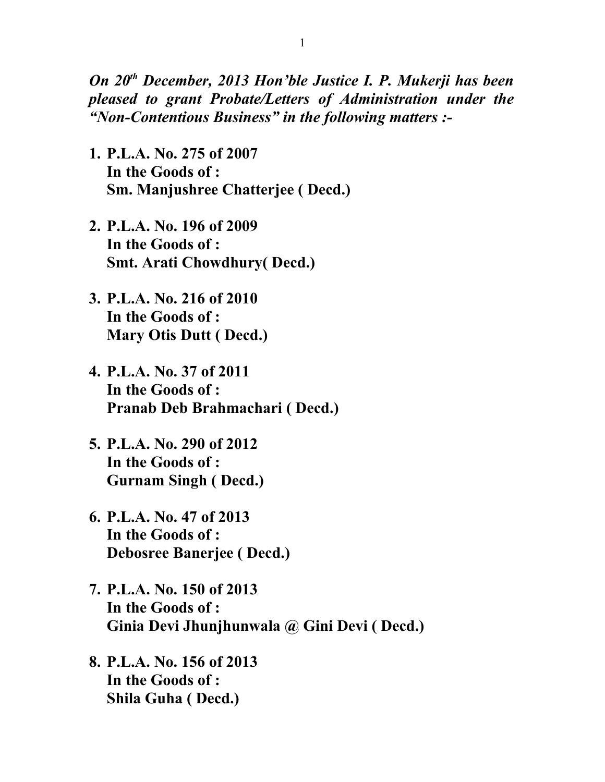*On 20th December, 2013 Hon'ble Justice I. P. Mukerji has been pleased to grant Probate/Letters of Administration under the "Non-Contentious Business" in the following matters :-*

- **1. P.L.A. No. 275 of 2007 In the Goods of : Sm. Manjushree Chatterjee ( Decd.)**
- **2. P.L.A. No. 196 of 2009 In the Goods of : Smt. Arati Chowdhury( Decd.)**
- **3. P.L.A. No. 216 of 2010 In the Goods of : Mary Otis Dutt ( Decd.)**
- **4. P.L.A. No. 37 of 2011 In the Goods of : Pranab Deb Brahmachari ( Decd.)**
- **5. P.L.A. No. 290 of 2012 In the Goods of : Gurnam Singh ( Decd.)**
- **6. P.L.A. No. 47 of 2013 In the Goods of : Debosree Banerjee ( Decd.)**
- **7. P.L.A. No. 150 of 2013 In the Goods of : Ginia Devi Jhunjhunwala @ Gini Devi ( Decd.)**
- **8. P.L.A. No. 156 of 2013 In the Goods of : Shila Guha ( Decd.)**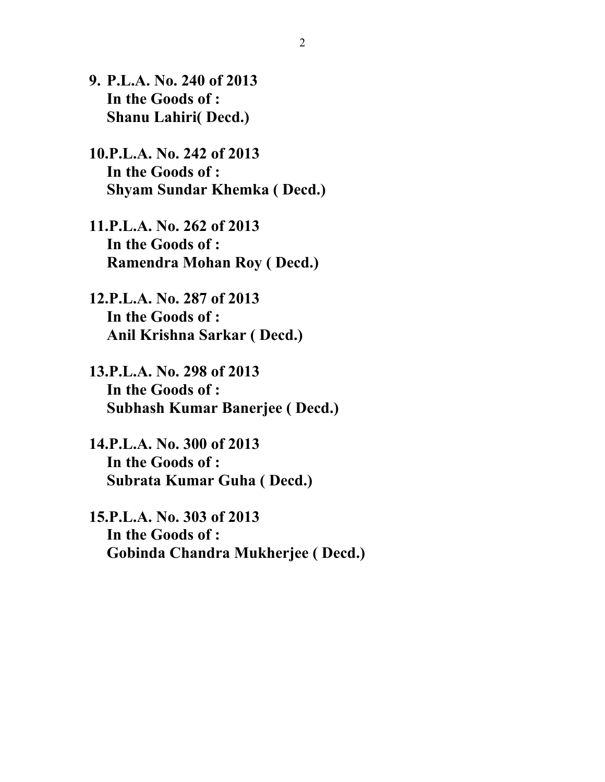- **9. P.L.A. No. 240 of 2013 In the Goods of : Shanu Lahiri( Decd.)**
- **10.P.L.A. No. 242 of 2013 In the Goods of : Shyam Sundar Khemka ( Decd.)**
- **11.P.L.A. No. 262 of 2013 In the Goods of : Ramendra Mohan Roy ( Decd.)**
- **12.P.L.A. No. 287 of 2013 In the Goods of : Anil Krishna Sarkar ( Decd.)**
- **13.P.L.A. No. 298 of 2013 In the Goods of : Subhash Kumar Banerjee ( Decd.)**
- **14.P.L.A. No. 300 of 2013 In the Goods of : Subrata Kumar Guha ( Decd.)**
- **15.P.L.A. No. 303 of 2013 In the Goods of : Gobinda Chandra Mukherjee ( Decd.)**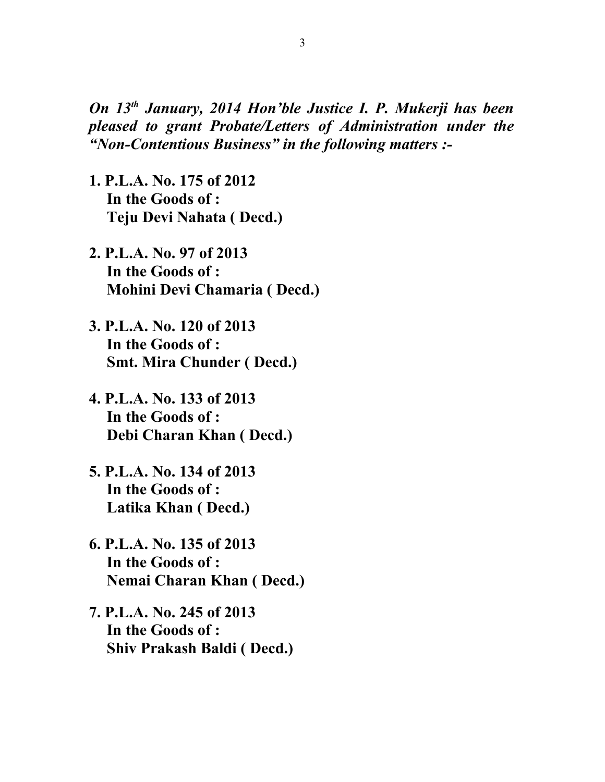*On 13th January, 2014 Hon'ble Justice I. P. Mukerji has been pleased to grant Probate/Letters of Administration under the "Non-Contentious Business" in the following matters :-*

- **1. P.L.A. No. 175 of 2012 In the Goods of : Teju Devi Nahata ( Decd.)**
- **2. P.L.A. No. 97 of 2013 In the Goods of : Mohini Devi Chamaria ( Decd.)**
- **3. P.L.A. No. 120 of 2013 In the Goods of : Smt. Mira Chunder ( Decd.)**
- **4. P.L.A. No. 133 of 2013 In the Goods of : Debi Charan Khan ( Decd.)**
- **5. P.L.A. No. 134 of 2013 In the Goods of : Latika Khan ( Decd.)**
- **6. P.L.A. No. 135 of 2013 In the Goods of : Nemai Charan Khan ( Decd.)**
- **7. P.L.A. No. 245 of 2013 In the Goods of : Shiv Prakash Baldi ( Decd.)**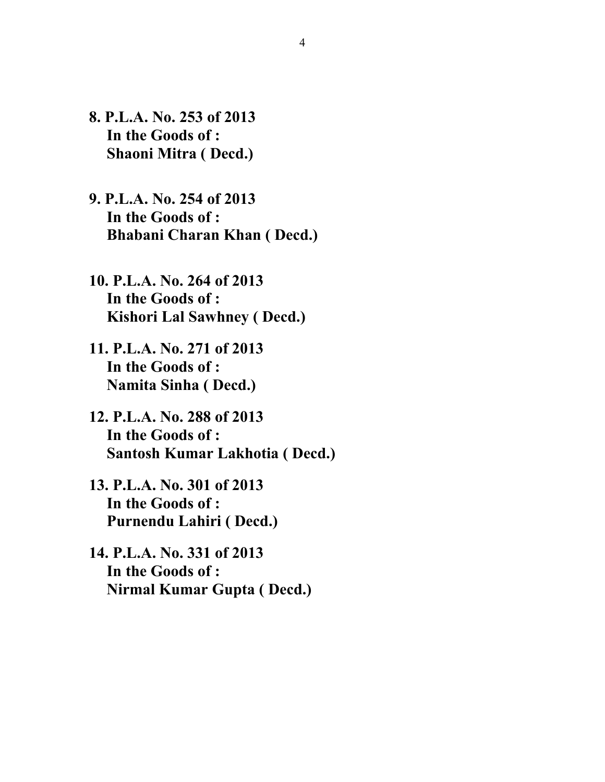- **8. P.L.A. No. 253 of 2013 In the Goods of : Shaoni Mitra ( Decd.)**
- **9. P.L.A. No. 254 of 2013 In the Goods of : Bhabani Charan Khan ( Decd.)**
- **10. P.L.A. No. 264 of 2013 In the Goods of : Kishori Lal Sawhney ( Decd.)**
- **11. P.L.A. No. 271 of 2013 In the Goods of : Namita Sinha ( Decd.)**
- **12. P.L.A. No. 288 of 2013 In the Goods of : Santosh Kumar Lakhotia ( Decd.)**
- **13. P.L.A. No. 301 of 2013 In the Goods of : Purnendu Lahiri ( Decd.)**
- **14. P.L.A. No. 331 of 2013 In the Goods of : Nirmal Kumar Gupta ( Decd.)**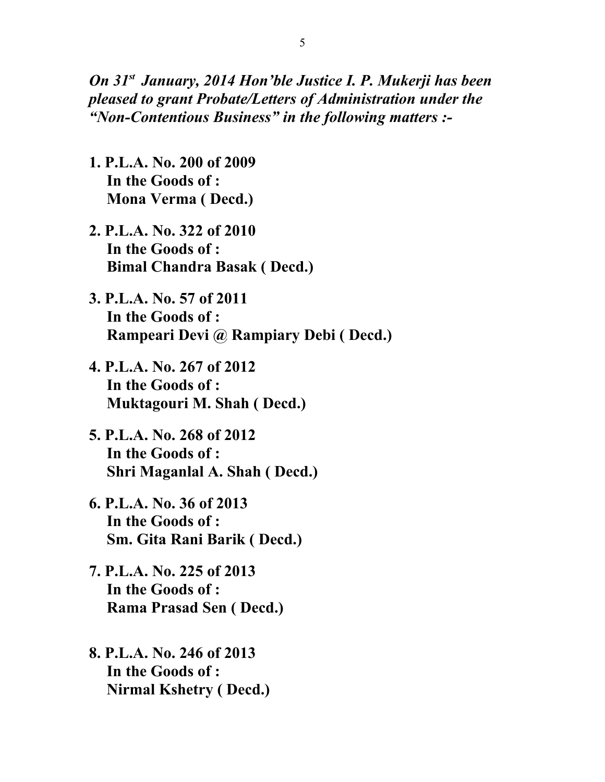*On 31st January, 2014 Hon'ble Justice I. P. Mukerji has been pleased to grant Probate/Letters of Administration under the "Non-Contentious Business" in the following matters :-*

- **1. P.L.A. No. 200 of 2009 In the Goods of : Mona Verma ( Decd.)**
- **2. P.L.A. No. 322 of 2010 In the Goods of : Bimal Chandra Basak ( Decd.)**
- **3. P.L.A. No. 57 of 2011 In the Goods of : Rampeari Devi @ Rampiary Debi ( Decd.)**
- **4. P.L.A. No. 267 of 2012 In the Goods of : Muktagouri M. Shah ( Decd.)**
- **5. P.L.A. No. 268 of 2012 In the Goods of : Shri Maganlal A. Shah ( Decd.)**
- **6. P.L.A. No. 36 of 2013 In the Goods of : Sm. Gita Rani Barik ( Decd.)**
- **7. P.L.A. No. 225 of 2013 In the Goods of : Rama Prasad Sen ( Decd.)**
- **8. P.L.A. No. 246 of 2013 In the Goods of : Nirmal Kshetry ( Decd.)**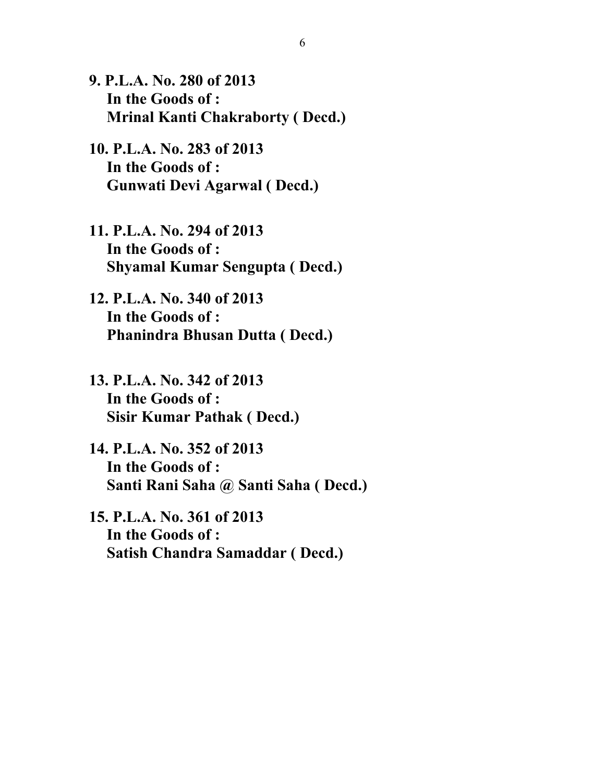- **9. P.L.A. No. 280 of 2013 In the Goods of : Mrinal Kanti Chakraborty ( Decd.)**
- **10. P.L.A. No. 283 of 2013 In the Goods of : Gunwati Devi Agarwal ( Decd.)**
- **11. P.L.A. No. 294 of 2013 In the Goods of : Shyamal Kumar Sengupta ( Decd.)**
- **12. P.L.A. No. 340 of 2013 In the Goods of : Phanindra Bhusan Dutta ( Decd.)**
- **13. P.L.A. No. 342 of 2013 In the Goods of : Sisir Kumar Pathak ( Decd.)**
- **14. P.L.A. No. 352 of 2013 In the Goods of : Santi Rani Saha @ Santi Saha ( Decd.)**
- **15. P.L.A. No. 361 of 2013 In the Goods of : Satish Chandra Samaddar ( Decd.)**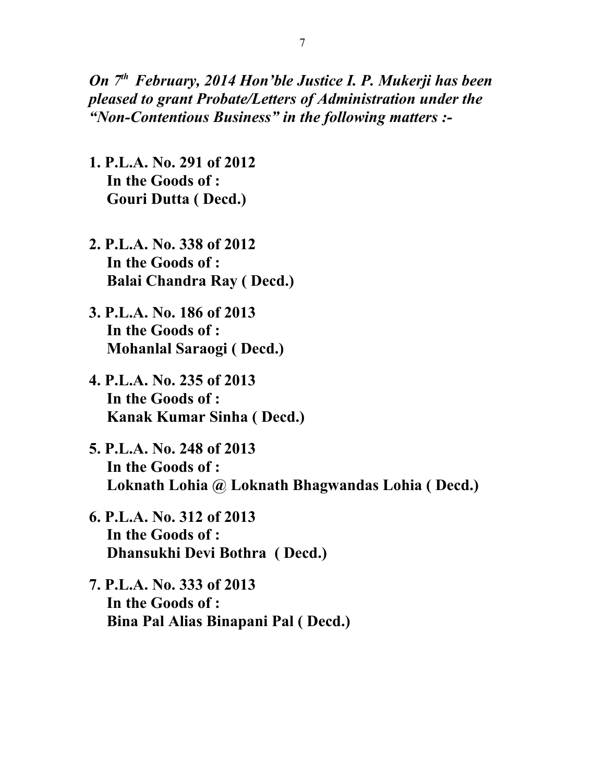*On 7th February, 2014 Hon'ble Justice I. P. Mukerji has been pleased to grant Probate/Letters of Administration under the "Non-Contentious Business" in the following matters :-*

- **1. P.L.A. No. 291 of 2012 In the Goods of : Gouri Dutta ( Decd.)**
- **2. P.L.A. No. 338 of 2012 In the Goods of : Balai Chandra Ray ( Decd.)**
- **3. P.L.A. No. 186 of 2013 In the Goods of : Mohanlal Saraogi ( Decd.)**
- **4. P.L.A. No. 235 of 2013 In the Goods of : Kanak Kumar Sinha ( Decd.)**
- **5. P.L.A. No. 248 of 2013 In the Goods of : Loknath Lohia @ Loknath Bhagwandas Lohia ( Decd.)**
- **6. P.L.A. No. 312 of 2013 In the Goods of : Dhansukhi Devi Bothra ( Decd.)**
- **7. P.L.A. No. 333 of 2013 In the Goods of : Bina Pal Alias Binapani Pal ( Decd.)**